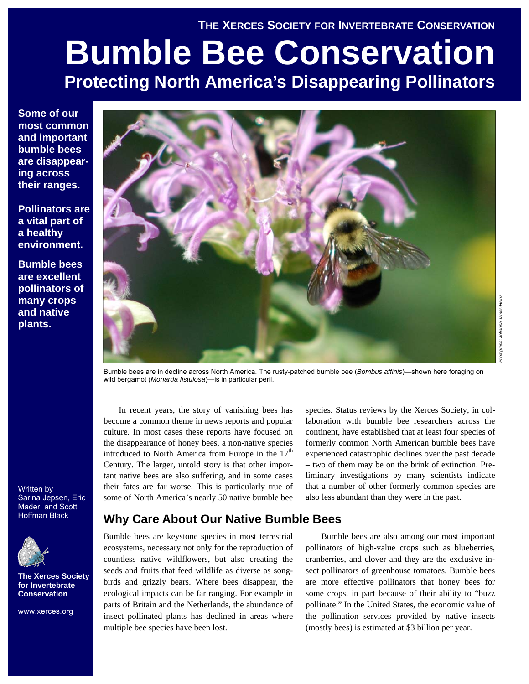# **THE XERCES SOCIETY FOR INVERTEBRATE CONSERVATION**

# **Bumble Bee Conservation Protecting North America's Disappearing Pollinators**

**Some of our most common and important bumble bees are disappearing across their ranges.** 

**Pollinators are a vital part of a healthy environment.** 

**Bumble bees are excellent pollinators of many crops and native plants.** 



Bumble bees are in decline across North America. The rusty-patched bumble bee (*Bombus affinis*)—shown here foraging on wild bergamot (*Monarda fistulosa*)—is in particular peril.

In recent years, the story of vanishing bees has become a common theme in news reports and popular culture. In most cases these reports have focused on the disappearance of honey bees, a non-native species introduced to North America from Europe in the  $17<sup>th</sup>$ Century. The larger, untold story is that other important native bees are also suffering, and in some cases their fates are far worse. This is particularly true of some of North America's nearly 50 native bumble bee

# **Why Care About Our Native Bumble Bees**

Bumble bees are keystone species in most terrestrial ecosystems, necessary not only for the reproduction of countless native wildflowers, but also creating the seeds and fruits that feed wildlife as diverse as songbirds and grizzly bears. Where bees disappear, the ecological impacts can be far ranging. For example in parts of Britain and the Netherlands, the abundance of insect pollinated plants has declined in areas where multiple bee species have been lost.

species. Status reviews by the Xerces Society, in collaboration with bumble bee researchers across the continent, have established that at least four species of formerly common North American bumble bees have experienced catastrophic declines over the past decade – two of them may be on the brink of extinction. Preliminary investigations by many scientists indicate that a number of other formerly common species are also less abundant than they were in the past.

Bumble bees are also among our most important pollinators of high-value crops such as blueberries, cranberries, and clover and they are the exclusive insect pollinators of greenhouse tomatoes. Bumble bees are more effective pollinators that honey bees for some crops, in part because of their ability to "buzz pollinate." In the United States, the economic value of the pollination services provided by native insects (mostly bees) is estimated at \$3 billion per year.

Written by Sarina Jepsen, Eric Mader, and Scott Hoffman Black



**The Xerces Society for Invertebrate Conservation** 

www.xerces.org